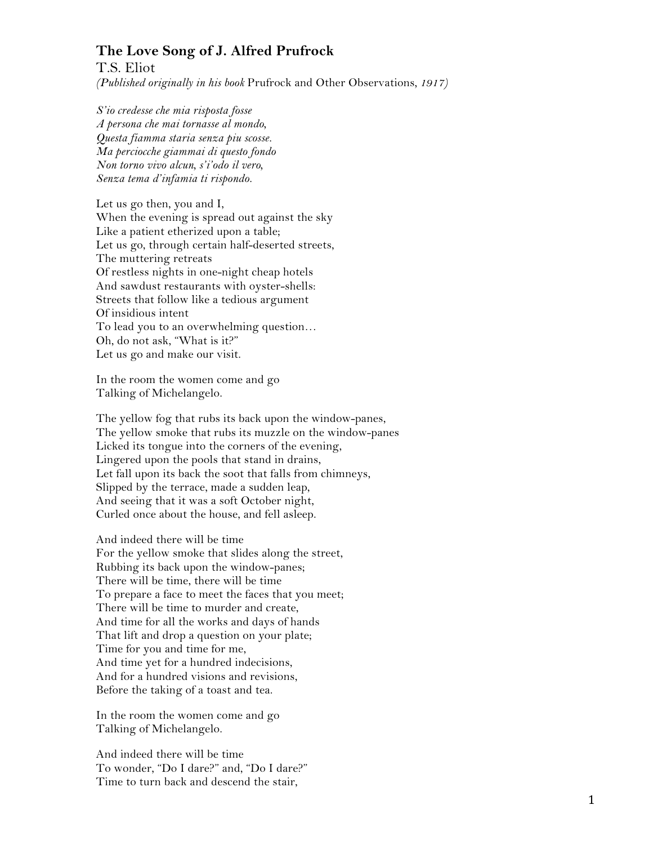### The Love Song of J. Alfred Prufrock

T.S. Eliot (Published originally in his book Prufrock and Other Observations, 1917) *,*

S'io credesse che mia risposta fosse A persona che mai tornasse al mondo *,* Questa fiamma staria senza piu scosse. Ma perciocche giammai di questo fondo Non torno vivo alcun, s'i'odo il vero *, , S e n z a t e m a d ' i nfa m i a t i r isp o n do .*

Let us go then, you and I, When the evening is spread out against the sky Like a patient etherized upon a table; Let us go, through certain half-deserted streets, The muttering retreats Of restless nights in one-night cheap hotels And sawdust restaurants with oyster-shells: Streets that follow like a tedious argument Of insidious intent To lead you to an overwhelming question... Oh, do not ask, "What is it?" Let us go and make our visit.

In the room the women come and go Talking of Michelangelo.

The yellow fog that rubs its back upon the window-panes, The yellow smoke that rubs its muzzle on the window-panes Licked its tongue into the corners of the evening, Lingered upon the pools that stand in drains, Let fall upon its back the soot that falls from chimneys, Slipped by the terrace, made a sudden leap, And seeing that it was a soft October night, Curled once about the house, and fell asleep.

And indeed there will be time For the yellow smoke that slides along the street, Rubbing its back upon the window-panes; There will be time, there will be time To prepare a face to meet the faces that you meet; There will be time to murder and create, And time for all the works and days of hands That lift and drop a question on your plate; Time for you and time for me, And time yet for a hundred indecisions, And for a hundred visions and revisions, Before the taking of a toast and tea.

In the room the women come and go Talking of Michelangelo.

And indeed there will be time To wonder, "Do I dare?" and, "Do I dare?" Time to turn back and descend the stair,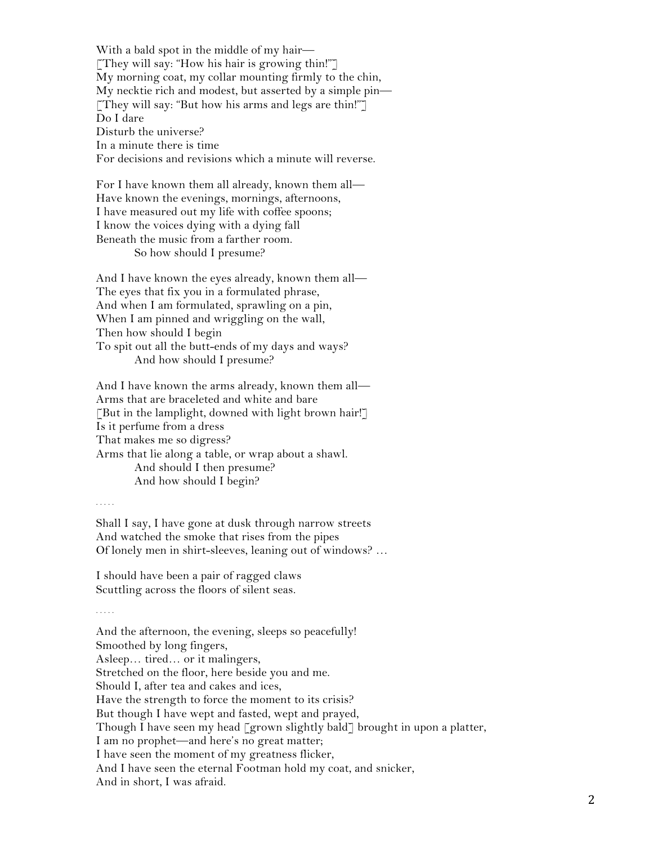With a bald spot in the middle of my hair— [They will say: "How his hair is growing thin!"] My morning coat, my collar mounting firmly to the chin, My necktie rich and modest, but asserted by a simple pin— [They will say: "But how his arms and legs are thin!"] Do I dare Disturb the universe? In a minute there is time For decisions and revisions which a minute will reverse.

For I have known them all already, known them all— Have known the evenings, mornings, afternoons, I have measured out my life with coffee spoons; I know the voices dying with a dying fall Beneath the music from a farther room. So how should I presume?

And I have known the eyes already, known them all— The eyes that fix you in a formulated phrase, And when I am formulated, sprawling on a pin, When I am pinned and wriggling on the wall, Then how should I begin To spit out all the butt-ends of my days and ways? And how should I presume?

And I have known the arms already, known them all— Arms that are braceleted and white and bare [But in the lamplight, downed with light brown hair!] Is it perfume from a dress That makes me so digress? Arms that lie along a table, or wrap about a shawl. And should I then presume? And how should I begin?

. . . . .

Shall I say, I have gone at dusk through narrow streets And watched the smoke that rises from the pipes Of lonely men in shirt-sleeves, leaning out of windows? …

I should have been a pair of ragged claws Scuttling across the floors of silent seas.

. . . . .

And the afternoon, the evening, sleeps so peacefully! Smoothed by long fingers, Asleep… tired… or it malingers, Stretched on the floor, here beside you and me. Should I, after tea and cakes and ices, Have the strength to force the moment to its crisis? But though I have wept and fasted, wept and prayed, Though I have seen my head [grown slightly bald] brought in upon a platter, I am no prophet—and here's no great matter; I have seen the moment of my greatness flicker, And I have seen the eternal Footman hold my coat, and snicker, And in short, I was afraid.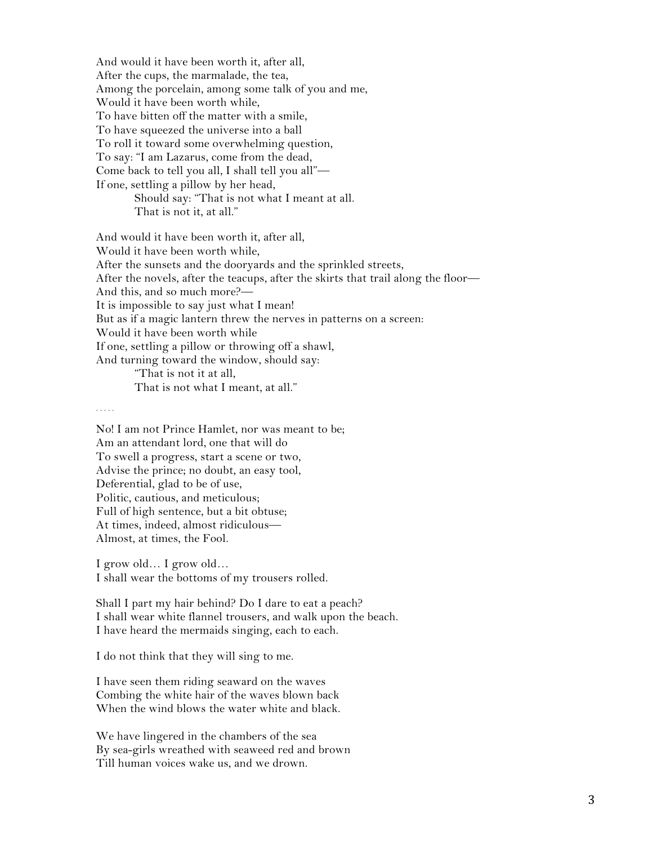And would it have been worth it, after all, After the cups, the marmalade, the tea, Among the porcelain, among some talk of you and me, Would it have been worth while, To have bitten off the matter with a smile, To have squeezed the universe into a ball To roll it toward some overwhelming question, To say: "I am Lazarus, come from the dead, Come back to tell you all, I shall tell you all"— If one, settling a pillow by her head, Should say: "That is not what I meant at all.

That is not it, at all."

And would it have been worth it, after all, Would it have been worth while, After the sunsets and the dooryards and the sprinkled streets, After the novels, after the teacups, after the skirts that trail along the floor— And this, and so much more?— It is impossible to say just what I mean! But as if a magic lantern threw the nerves in patterns on a screen: Would it have been worth while If one, settling a pillow or throwing off a shawl, And turning toward the window, should say: "That is not it at all,

That is not what I meant, at all."

. . . . .

No! I am not Prince Hamlet, nor was meant to be; Am an attendant lord, one that will do To swell a progress, start a scene or two, Advise the prince; no doubt, an easy tool, Deferential, glad to be of use, Politic, cautious, and meticulous; Full of high sentence, but a bit obtuse; At times, indeed, almost ridiculous— Almost, at times, the Fool.

I grow old… I grow old… I shall wear the bottoms of my trousers rolled.

Shall I part my hair behind? Do I dare to eat a peach? I shall wear white flannel trousers, and walk upon the beach. I have heard the mermaids singing, each to each.

I do not think that they will sing to me.

I have seen them riding seaward on the waves Combing the white hair of the waves blown back When the wind blows the water white and black.

We have lingered in the chambers of the sea By sea-girls wreathed with seaweed red and brown Till human voices wake us, and we drown.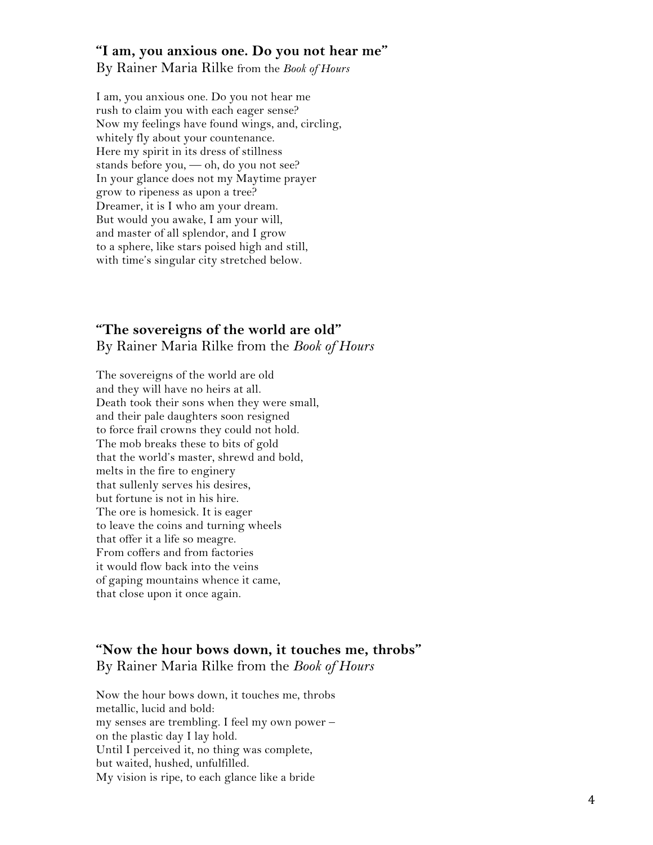### **"I am, you anxious one. Do you not hear me"**

By Rainer Maria Rilke from the *Book of Hours*

I am, you anxious one. Do you not hear me rush to claim you with each eager sense? Now my feelings have found wings, and, circling, whitely fly about your countenance. Here my spirit in its dress of stillness stands before you, — oh, do you not see? In your glance does not my Maytime prayer grow to ripeness as upon a tree? Dreamer, it is I who am your dream. But would you awake, I am your will, and master of all splendor, and I grow to a sphere, like stars poised high and still, with time's singular city stretched below.

### **"The sovereigns of the world are old"** By Rainer Maria Rilke from the *Book of Hours*

The sovereigns of the world are old and they will have no heirs at all. Death took their sons when they were small, and their pale daughters soon resigned to force frail crowns they could not hold. The mob breaks these to bits of gold that the world's master, shrewd and bold, melts in the fire to enginery that sullenly serves his desires, but fortune is not in his hire. The ore is homesick. It is eager to leave the coins and turning wheels that offer it a life so meagre. From coffers and from factories it would flow back into the veins of gaping mountains whence it came, that close upon it once again.

## **"Now the hour bows down, it touches me, throbs"** By Rainer Maria Rilke from the *Book of Hours*

Now the hour bows down, it touches me, throbs metallic, lucid and bold: my senses are trembling. I feel my own power – on the plastic day I lay hold. Until I perceived it, no thing was complete, but waited, hushed, unfulfilled. My vision is ripe, to each glance like a bride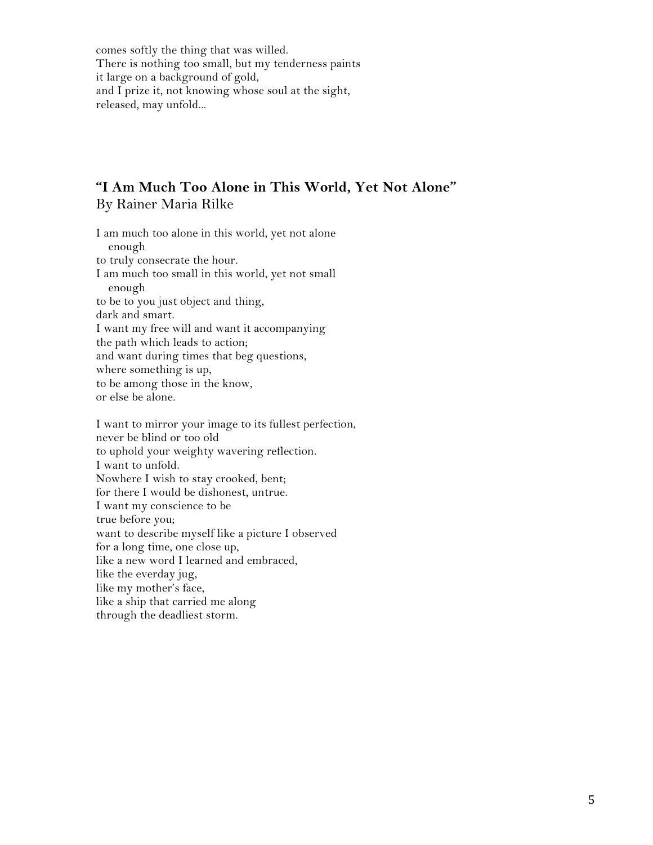comes softly the thing that was willed. There is nothing too small, but my tenderness paints it large on a background of gold, and I prize it, not knowing whose soul at the sight, released, may unfold...

# **"I Am Much Too Alone in This World, Yet Not Alone"** By Rainer Maria Rilke

I am much too alone in this world, yet not alone enough to truly consecrate the hour. I am much too small in this world, yet not small enough to be to you just object and thing, dark and smart. I want my free will and want it accompanying the path which leads to action; and want during times that beg questions, where something is up, to be among those in the know, or else be alone.

I want to mirror your image to its fullest perfection, never be blind or too old to uphold your weighty wavering reflection. I want to unfold. Nowhere I wish to stay crooked, bent; for there I would be dishonest, untrue. I want my conscience to be true before you; want to describe myself like a picture I observed for a long time, one close up, like a new word I learned and embraced, like the everday jug, like my mother's face, like a ship that carried me along through the deadliest storm.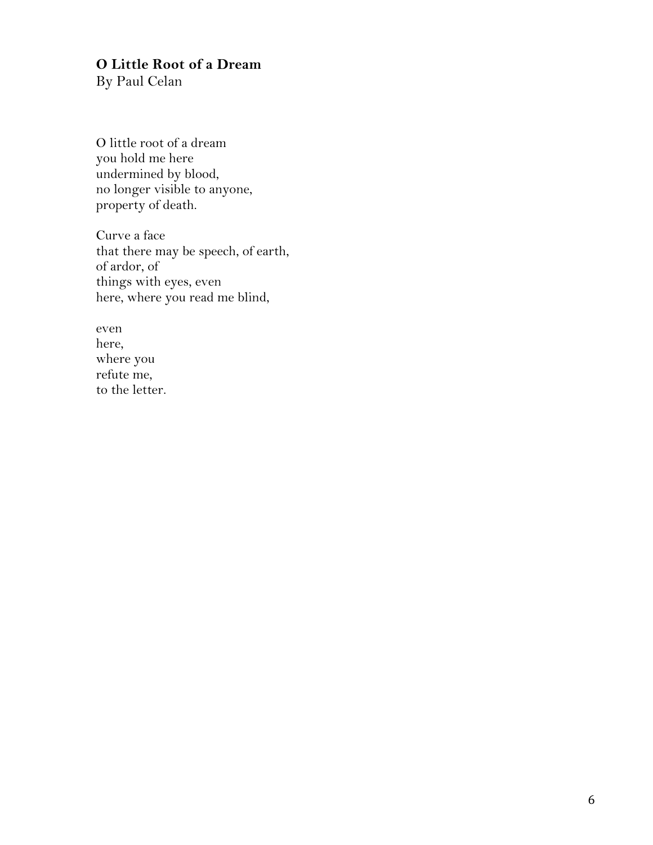# **O Little Root of a Dream**

By Paul Celan

O little root of a dream you hold me here undermined by blood, no longer visible to anyone, property of death.

Curve a face that there may be speech, of earth, of ardor, of things with eyes, even here, where you read me blind,

even here, where you refute me, to the letter.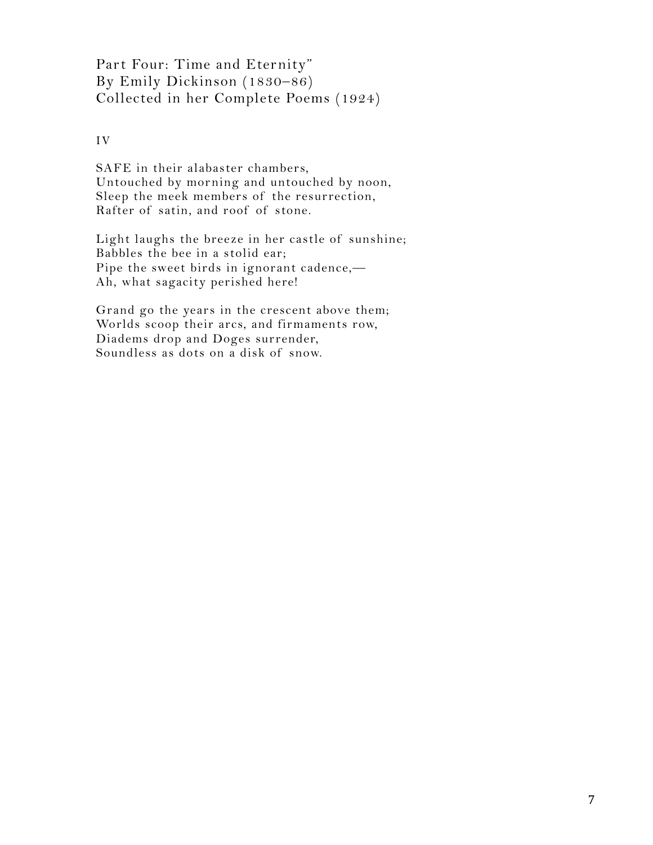Part Four: Time and Eternity" By Emily Dickinson (1830–86) Collected in her Complete Poems (1924)

IV

SAFE in their alabaster chambers, Untouched by morning and untouched by noon, Sleep the meek members of the resurrection, Rafter of satin, and roof of stone.

Light laughs the breeze in her castle of sunshine; Babbles the bee in a stolid ear; Pipe the sweet birds in ignorant cadence,— Ah, what sagacity perished here!

Grand go the years in the crescent above them; Worlds scoop their arcs, and firmaments row, Diadems drop and Doges surrender, Soundless as dots on a disk of snow.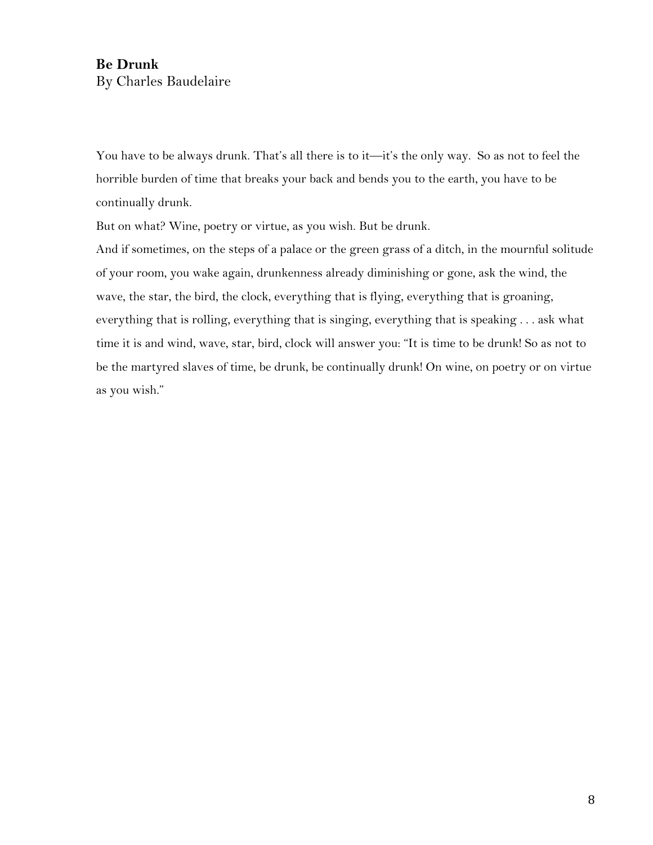# **Be Drunk** By Charles Baudelaire

You have to be always drunk. That's all there is to it—it's the only way. So as not to feel the horrible burden of time that breaks your back and bends you to the earth, you have to be continually drunk.

But on what? Wine, poetry or virtue, as you wish. But be drunk.

And if sometimes, on the steps of a palace or the green grass of a ditch, in the mournful solitude of your room, you wake again, drunkenness already diminishing or gone, ask the wind, the wave, the star, the bird, the clock, everything that is flying, everything that is groaning, everything that is rolling, everything that is singing, everything that is speaking . . . ask what time it is and wind, wave, star, bird, clock will answer you: "It is time to be drunk! So as not to be the martyred slaves of time, be drunk, be continually drunk! On wine, on poetry or on virtue as you wish."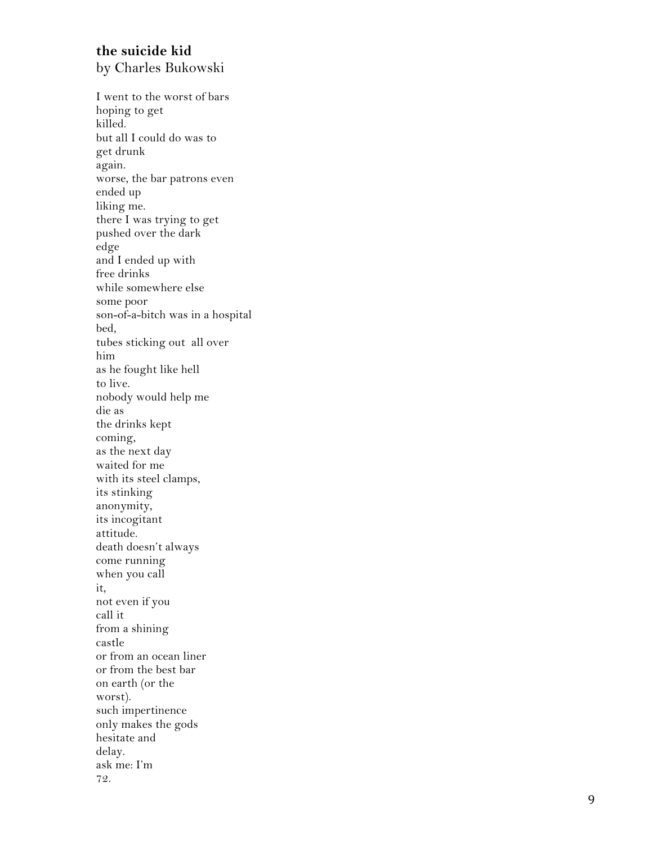### **t h e s u i c i d e k i d**

by Charles Bukowski

I went to the worst of bars hoping to get killed. but all I could do was to g e t d r u n k again. worse, the bar patrons even ended up liking me. there I was trying to get pushed over the dark e d g e and I ended up with free drinks while somewhere else some poor son-of-a-bitch was in a hospital b e d , tubes sticking out all over h i m as he fought like hell to live. n o b o d y w o u l d h e l p m e d i e a s the drinks kept coming, as the next day waited for me with its steel clamps, its stinking anonymity, its incogitant attitude. death doesn't always c o m e r u n n i n g when you call i t , not even if you c a l l i t from a shining c a s t l e or from an ocean liner or from the best bar on earth (or the worst). such impertinence only makes the gods hesitate and delay. a s k m e : I ' m 7 2 .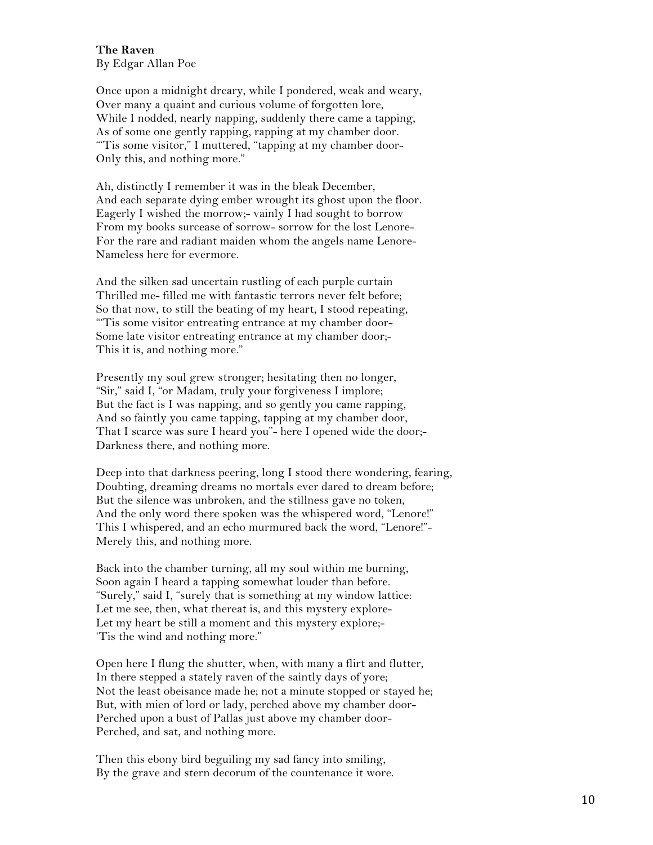**The Raven** By Edgar Allan Poe

Once upon a midnight dreary, while I pondered, weak and weary, Over many a quaint and curious volume of forgotten lore, While I nodded, nearly napping, suddenly there came a tapping, As of some one gently rapping, rapping at my chamber door. "Tis some visitor," I muttered, "tapping at my chamber door-Only this, and nothing more."

Ah, distinctly I remember it was in the bleak December, And each separate dying ember wrought its ghost upon the floor. Eagerly I wished the morrow;- vainly I had sought to borrow From my books surcease of sorrow- sorrow for the lost Lenore-For the rare and radiant maiden whom the angels name Lenore-Nameless here for evermore.

And the silken sad uncertain rustling of each purple curtain Thrilled me- filled me with fantastic terrors never felt before; So that now, to still the beating of my heart, I stood repeating, "'Tis some visitor entreating entrance at my chamber door-Some late visitor entreating entrance at my chamber door;- This it is, and nothing more."

Presently my soul grew stronger; hesitating then no longer, "Sir," said I, "or Madam, truly your forgiveness I implore; But the fact is I was napping, and so gently you came rapping, And so faintly you came tapping, tapping at my chamber door, That I scarce was sure I heard you"- here I opened wide the door;- Darkness there, and nothing more.

Deep into that darkness peering, long I stood there wondering, fearing, Doubting, dreaming dreams no mortals ever dared to dream before; But the silence was unbroken, and the stillness gave no token, And the only word there spoken was the whispered word, "Lenore!" This I whispered, and an echo murmured back the word, "Lenore!"- Merely this, and nothing more.

Back into the chamber turning, all my soul within me burning, Soon again I heard a tapping somewhat louder than before. "Surely," said I, "surely that is something at my window lattice: Let me see, then, what thereat is, and this mystery explore-Let my heart be still a moment and this mystery explore;-'Tis the wind and nothing more."

Open here I flung the shutter, when, with many a flirt and flutter, In there stepped a stately raven of the saintly days of yore; Not the least obeisance made he; not a minute stopped or stayed he; But, with mien of lord or lady, perched above my chamber door-Perched upon a bust of Pallas just above my chamber door-Perched, and sat, and nothing more.

Then this ebony bird beguiling my sad fancy into smiling, By the grave and stern decorum of the countenance it wore.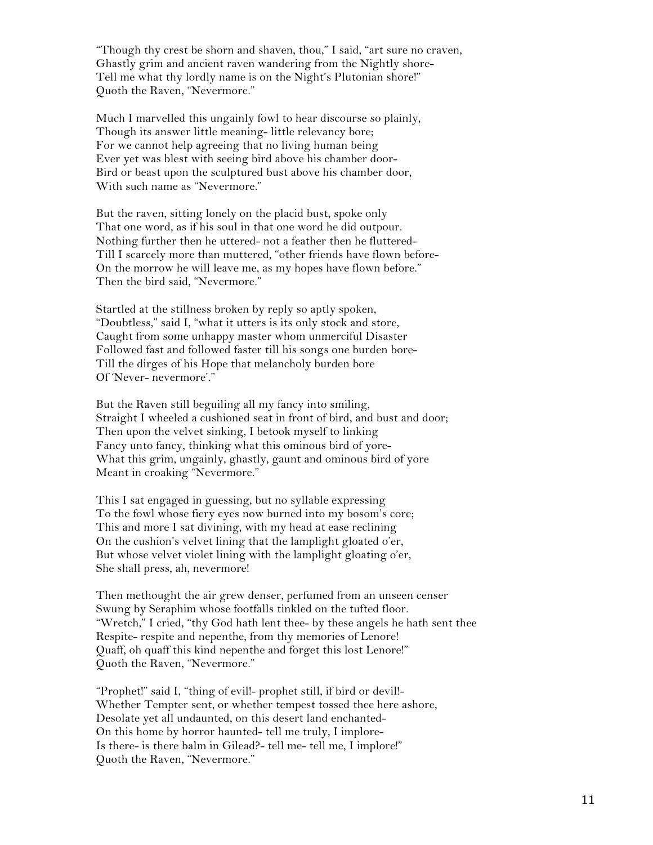"Though thy crest be shorn and shaven, thou," I said, "art sure no craven, Ghastly grim and ancient raven wandering from the Nightly shore-Tell me what thy lordly name is on the Night's Plutonian shore!" Quoth the Raven, "Nevermore."

Much I marvelled this ungainly fowl to hear discourse so plainly, Though its answer little meaning- little relevancy bore; For we cannot help agreeing that no living human being Ever yet was blest with seeing bird above his chamber door-Bird or beast upon the sculptured bust above his chamber door, With such name as "Nevermore."

But the raven, sitting lonely on the placid bust, spoke only That one word, as if his soul in that one word he did outpour. Nothing further then he uttered- not a feather then he fluttered-Till I scarcely more than muttered, "other friends have flown before-On the morrow he will leave me, as my hopes have flown before." Then the bird said, "Nevermore."

Startled at the stillness broken by reply so aptly spoken, "Doubtless," said I, "what it utters is its only stock and store, Caught from some unhappy master whom unmerciful Disaster Followed fast and followed faster till his songs one burden bore-Till the dirges of his Hope that melancholy burden bore Of 'Never- nevermore'."

But the Raven still beguiling all my fancy into smiling, Straight I wheeled a cushioned seat in front of bird, and bust and door; Then upon the velvet sinking, I betook myself to linking Fancy unto fancy, thinking what this ominous bird of yore-What this grim, ungainly, ghastly, gaunt and ominous bird of yore Meant in croaking "Nevermore."

This I sat engaged in guessing, but no syllable expressing To the fowl whose fiery eyes now burned into my bosom's core; This and more I sat divining, with my head at ease reclining On the cushion's velvet lining that the lamplight gloated o'er, But whose velvet violet lining with the lamplight gloating o'er, She shall press, ah, nevermore!

Then methought the air grew denser, perfumed from an unseen censer Swung by Seraphim whose footfalls tinkled on the tufted floor. "Wretch," I cried, "thy God hath lent thee- by these angels he hath sent thee Respite- respite and nepenthe, from thy memories of Lenore! Quaff, oh quaff this kind nepenthe and forget this lost Lenore!" Quoth the Raven, "Nevermore."

"Prophet!" said I, "thing of evil!- prophet still, if bird or devil!- Whether Tempter sent, or whether tempest tossed thee here ashore, Desolate yet all undaunted, on this desert land enchanted-On this home by horror haunted- tell me truly, I implore-Is there- is there balm in Gilead?- tell me- tell me, I implore!" Quoth the Raven, "Nevermore."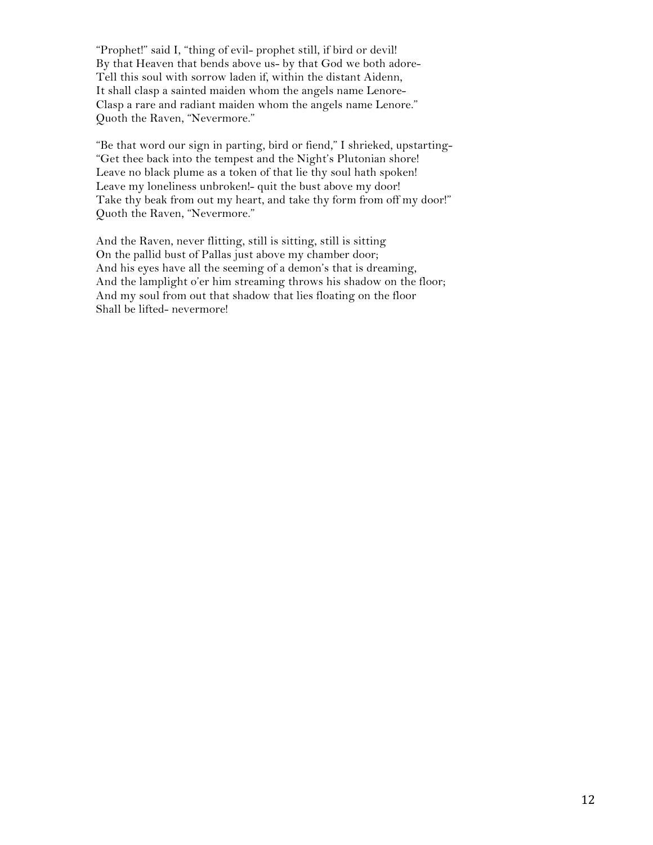"Prophet!" said I, "thing of evil- prophet still, if bird or devil! By that Heaven that bends above us- by that God we both adore-Tell this soul with sorrow laden if, within the distant Aidenn, It shall clasp a sainted maiden whom the angels name Lenore-Clasp a rare and radiant maiden whom the angels name Lenore." Quoth the Raven, "Nevermore."

"Be that word our sign in parting, bird or fiend," I shrieked, upstarting- "Get thee back into the tempest and the Night's Plutonian shore! Leave no black plume as a token of that lie thy soul hath spoken! Leave my loneliness unbroken!- quit the bust above my door! Take thy beak from out my heart, and take thy form from off my door!" Quoth the Raven, "Nevermore."

And the Raven, never flitting, still is sitting, still is sitting On the pallid bust of Pallas just above my chamber door; And his eyes have all the seeming of a demon's that is dreaming, And the lamplight o'er him streaming throws his shadow on the floor; And my soul from out that shadow that lies floating on the floor Shall be lifted- nevermore!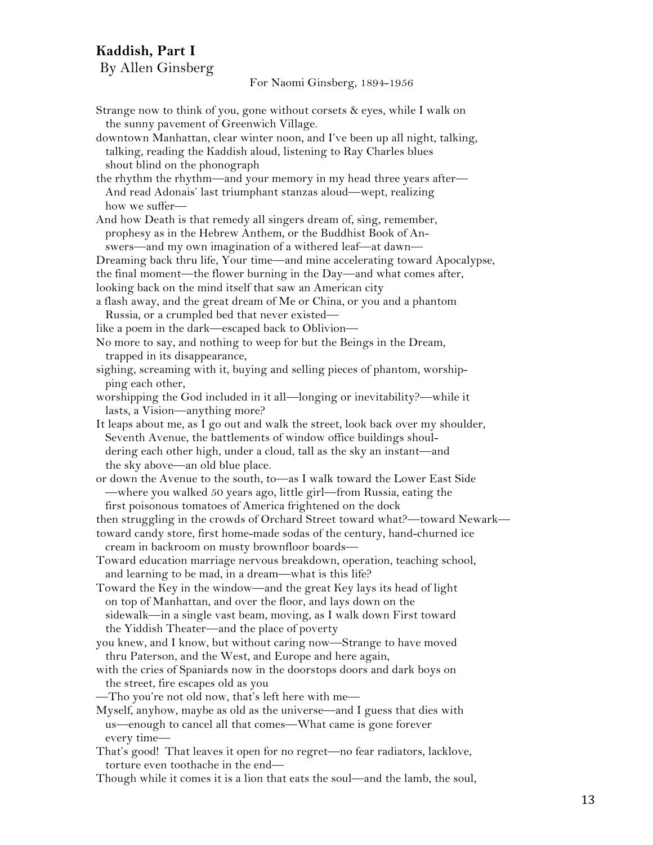## **Kaddish, Part I**

By Allen Ginsberg

For Naomi Ginsberg, 1894-1956

| Strange now to think of you, gone without corsets & eyes, while I walk on<br>the sunny pavement of Greenwich Village.                                                              |
|------------------------------------------------------------------------------------------------------------------------------------------------------------------------------------|
| downtown Manhattan, clear winter noon, and I've been up all night, talking,<br>talking, reading the Kaddish aloud, listening to Ray Charles blues<br>shout blind on the phonograph |
|                                                                                                                                                                                    |
| the rhythm the rhythm-and your memory in my head three years after-                                                                                                                |
| And read Adonais' last triumphant stanzas aloud-wept, realizing                                                                                                                    |
| how we suffer-                                                                                                                                                                     |
| And how Death is that remedy all singers dream of, sing, remember,                                                                                                                 |
| prophesy as in the Hebrew Anthem, or the Buddhist Book of An-                                                                                                                      |
| swers—and my own imagination of a withered leaf—at dawn—                                                                                                                           |
| Dreaming back thru life, Your time—and mine accelerating toward Apocalypse,                                                                                                        |
| the final moment-the flower burning in the Day-and what comes after,                                                                                                               |
| looking back on the mind itself that saw an American city                                                                                                                          |
| a flash away, and the great dream of Me or China, or you and a phantom                                                                                                             |
| Russia, or a crumpled bed that never existed-                                                                                                                                      |
| like a poem in the dark—escaped back to Oblivion—                                                                                                                                  |
| No more to say, and nothing to weep for but the Beings in the Dream,                                                                                                               |
| trapped in its disappearance,                                                                                                                                                      |
| sighing, screaming with it, buying and selling pieces of phantom, worship-                                                                                                         |
| ping each other,                                                                                                                                                                   |
| worshipping the God included in it all-longing or inevitability?-while it                                                                                                          |
| lasts, a Vision-anything more?                                                                                                                                                     |
| It leaps about me, as I go out and walk the street, look back over my shoulder,                                                                                                    |
| Seventh Avenue, the battlements of window office buildings shoul-                                                                                                                  |
| dering each other high, under a cloud, tall as the sky an instant-and                                                                                                              |
| the sky above-an old blue place.                                                                                                                                                   |
| or down the Avenue to the south, to-as I walk toward the Lower East Side                                                                                                           |
| -where you walked 50 years ago, little girl-from Russia, eating the                                                                                                                |
| first poisonous tomatoes of America frightened on the dock                                                                                                                         |
| then struggling in the crowds of Orchard Street toward what?-toward Newark-                                                                                                        |
| toward candy store, first home-made sodas of the century, hand-churned ice                                                                                                         |
| cream in backroom on musty brownfloor boards-                                                                                                                                      |
| Toward education marriage nervous breakdown, operation, teaching school,                                                                                                           |
| and learning to be mad, in a dream—what is this life?                                                                                                                              |
| Toward the Key in the window—and the great Key lays its head of light                                                                                                              |
| on top of Manhattan, and over the floor, and lays down on the                                                                                                                      |
| sidewalk—in a single vast beam, moving, as I walk down First toward                                                                                                                |
| the Yiddish Theater—and the place of poverty                                                                                                                                       |
| you knew, and I know, but without caring now—Strange to have moved                                                                                                                 |
| thru Paterson, and the West, and Europe and here again,                                                                                                                            |
| with the cries of Spaniards now in the doorstops doors and dark boys on                                                                                                            |
| the street, fire escapes old as you                                                                                                                                                |
| -Tho you're not old now, that's left here with me                                                                                                                                  |
| Myself, anyhow, maybe as old as the universe-and I guess that dies with                                                                                                            |
| us—enough to cancel all that comes—What came is gone forever                                                                                                                       |
| every time-                                                                                                                                                                        |
|                                                                                                                                                                                    |
|                                                                                                                                                                                    |
| That's good! That leaves it open for no regret—no fear radiators, lacklove,                                                                                                        |
| torture even toothache in the end-<br>Though while it comes it is a lion that eats the soul—and the lamb, the soul,                                                                |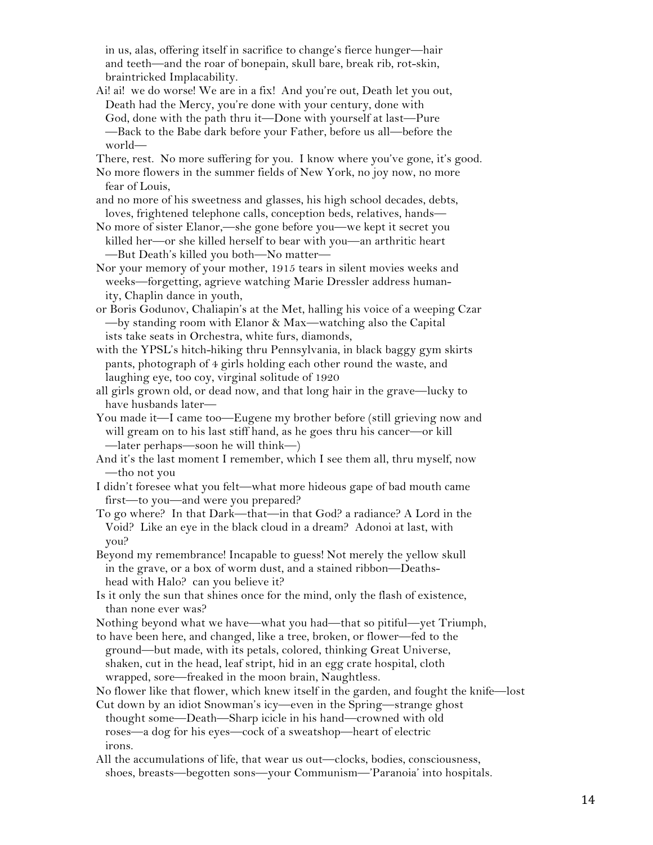in us, alas, offering itself in sacrifice to change's fierce hunger—hair and teeth—and the roar of bonepain, skull bare, break rib, rot-skin, braintricked Implacability.

Ai! ai! we do worse! We are in a fix! And you're out, Death let you out, Death had the Mercy, you're done with your century, done with God, done with the path thru it—Done with yourself at last—Pure —Back to the Babe dark before your Father, before us all—before the world—

There, rest. No more suffering for you. I know where you've gone, it's good.

- No more flowers in the summer fields of New York, no joy now, no more fear of Louis,
- and no more of his sweetness and glasses, his high school decades, debts, loves, frightened telephone calls, conception beds, relatives, hands—
- No more of sister Elanor,—she gone before you—we kept it secret you killed her—or she killed herself to bear with you—an arthritic heart —But Death's killed you both—No matter—
- Nor your memory of your mother, 1915 tears in silent movies weeks and weeks—forgetting, agrieve watching Marie Dressler address humanity, Chaplin dance in youth,

or Boris Godunov, Chaliapin's at the Met, halling his voice of a weeping Czar —by standing room with Elanor & Max—watching also the Capital ists take seats in Orchestra, white furs, diamonds,

- with the YPSL's hitch-hiking thru Pennsylvania, in black baggy gym skirts pants, photograph of 4 girls holding each other round the waste, and laughing eye, too coy, virginal solitude of 1920
- all girls grown old, or dead now, and that long hair in the grave—lucky to have husbands later—
- You made it—I came too—Eugene my brother before (still grieving now and will gream on to his last stiff hand, as he goes thru his cancer—or kill —later perhaps—soon he will think—)
- And it's the last moment I remember, which I see them all, thru myself, now —tho not you
- I didn't foresee what you felt—what more hideous gape of bad mouth came first—to you—and were you prepared?
- To go where? In that Dark—that—in that God? a radiance? A Lord in the Void? Like an eye in the black cloud in a dream? Adonoi at last, with you?

Beyond my remembrance! Incapable to guess! Not merely the yellow skull in the grave, or a box of worm dust, and a stained ribbon—Deathshead with Halo? can you believe it?

- Is it only the sun that shines once for the mind, only the flash of existence, than none ever was?
- Nothing beyond what we have—what you had—that so pitiful—yet Triumph,
- to have been here, and changed, like a tree, broken, or flower—fed to the ground—but made, with its petals, colored, thinking Great Universe, shaken, cut in the head, leaf stript, hid in an egg crate hospital, cloth wrapped, sore—freaked in the moon brain, Naughtless.

No flower like that flower, which knew itself in the garden, and fought the knife—lost

Cut down by an idiot Snowman's icy—even in the Spring—strange ghost thought some—Death—Sharp icicle in his hand—crowned with old roses—a dog for his eyes—cock of a sweatshop—heart of electric irons.

All the accumulations of life, that wear us out—clocks, bodies, consciousness, shoes, breasts—begotten sons—your Communism—'Paranoia' into hospitals.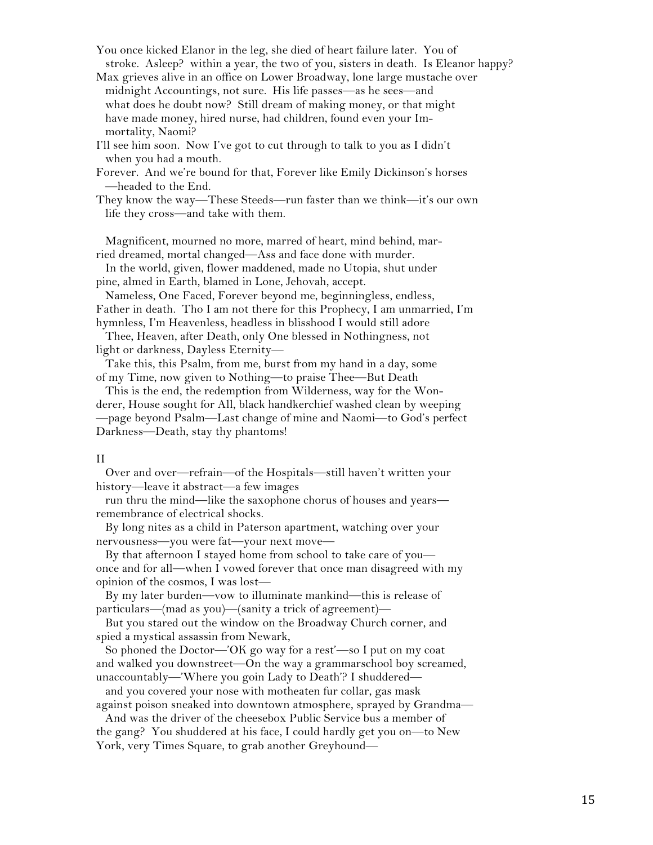You once kicked Elanor in the leg, she died of heart failure later. You of stroke. Asleep? within a year, the two of you, sisters in death. Is Eleanor happy?

- Max grieves alive in an office on Lower Broadway, lone large mustache over midnight Accountings, not sure. His life passes—as he sees—and what does he doubt now? Still dream of making money, or that might have made money, hired nurse, had children, found even your Immortality, Naomi?
- I'll see him soon. Now I've got to cut through to talk to you as I didn't when you had a mouth.
- Forever. And we're bound for that, Forever like Emily Dickinson's horses —headed to the End.
- They know the way—These Steeds—run faster than we think—it's our own life they cross—and take with them.

Magnificent, mourned no more, marred of heart, mind behind, married dreamed, mortal changed—Ass and face done with murder.

In the world, given, flower maddened, made no Utopia, shut under pine, almed in Earth, blamed in Lone, Jehovah, accept.

Nameless, One Faced, Forever beyond me, beginningless, endless, Father in death. Tho I am not there for this Prophecy, I am unmarried, I'm hymnless, I'm Heavenless, headless in blisshood I would still adore

Thee, Heaven, after Death, only One blessed in Nothingness, not light or darkness, Dayless Eternity—

Take this, this Psalm, from me, burst from my hand in a day, some of my Time, now given to Nothing—to praise Thee—But Death

This is the end, the redemption from Wilderness, way for the Wonderer, House sought for All, black handkerchief washed clean by weeping —page beyond Psalm—Last change of mine and Naomi—to God's perfect Darkness—Death, stay thy phantoms!

#### II

Over and over—refrain—of the Hospitals—still haven't written your history—leave it abstract—a few images

run thru the mind—like the saxophone chorus of houses and years remembrance of electrical shocks.

By long nites as a child in Paterson apartment, watching over your nervousness—you were fat—your next move—

By that afternoon I stayed home from school to take care of you once and for all—when I vowed forever that once man disagreed with my opinion of the cosmos, I was lost—

By my later burden—vow to illuminate mankind—this is release of particulars—(mad as you)—(sanity a trick of agreement)—

But you stared out the window on the Broadway Church corner, and spied a mystical assassin from Newark,

So phoned the Doctor—'OK go way for a rest'—so I put on my coat and walked you downstreet—On the way a grammarschool boy screamed, unaccountably—'Where you goin Lady to Death'? I shuddered—

and you covered your nose with motheaten fur collar, gas mask against poison sneaked into downtown atmosphere, sprayed by Grandma—

And was the driver of the cheesebox Public Service bus a member of the gang? You shuddered at his face, I could hardly get you on—to New York, very Times Square, to grab another Greyhound—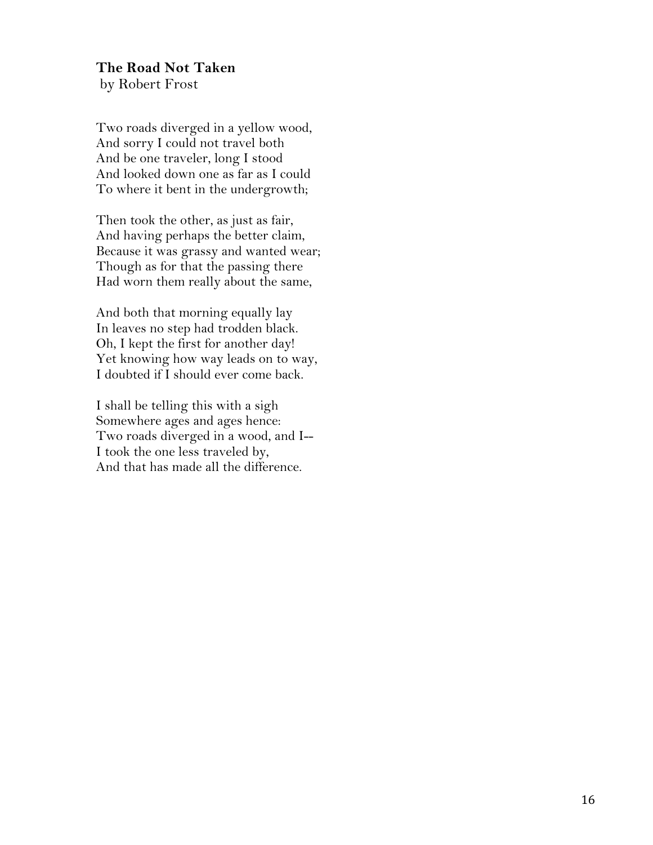### **The Road Not Taken** by Robert Frost

Two roads diverged in a yellow wood, And sorry I could not travel both And be one traveler, long I stood And looked down one as far as I could To where it bent in the undergrowth;

Then took the other, as just as fair, And having perhaps the better claim, Because it was grassy and wanted wear; Though as for that the passing there Had worn them really about the same,

And both that morning equally lay In leaves no step had trodden black. Oh, I kept the first for another day! Yet knowing how way leads on to way, I doubted if I should ever come back.

I shall be telling this with a sigh Somewhere ages and ages hence: Two roads diverged in a wood, and I-- I took the one less traveled by, And that has made all the difference.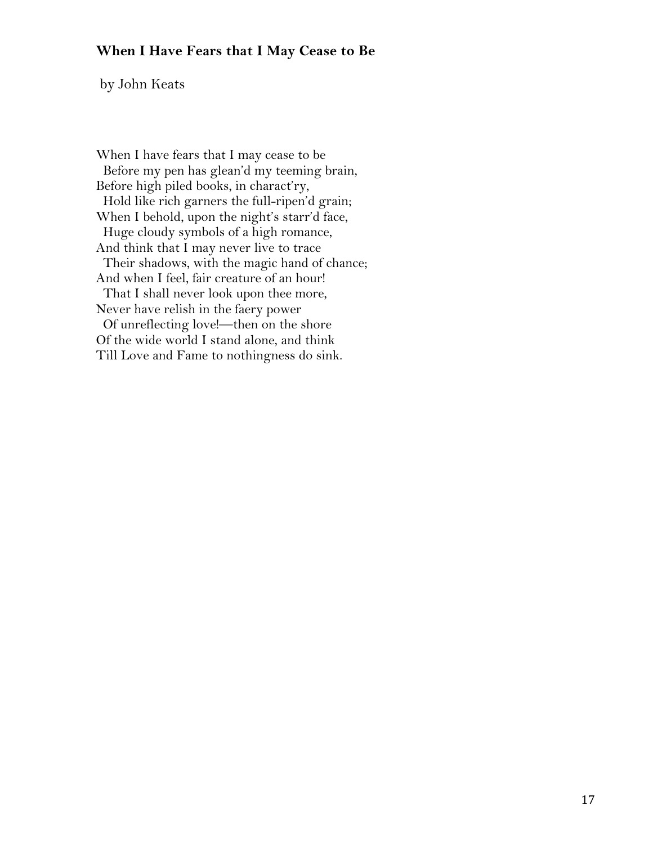### **When I Have Fears that I May Cease to Be**

by John Keats

When I have fears that I may cease to be Before my pen has glean'd my teeming brain, Before high piled books, in charact'ry, Hold like rich garners the full-ripen'd grain; When I behold, upon the night's starr'd face, Huge cloudy symbols of a high romance, And think that I may never live to trace Their shadows, with the magic hand of chance; And when I feel, fair creature of an hour! That I shall never look upon thee more, Never have relish in the faery power Of unreflecting love!—then on the shore Of the wide world I stand alone, and think Till Love and Fame to nothingness do sink.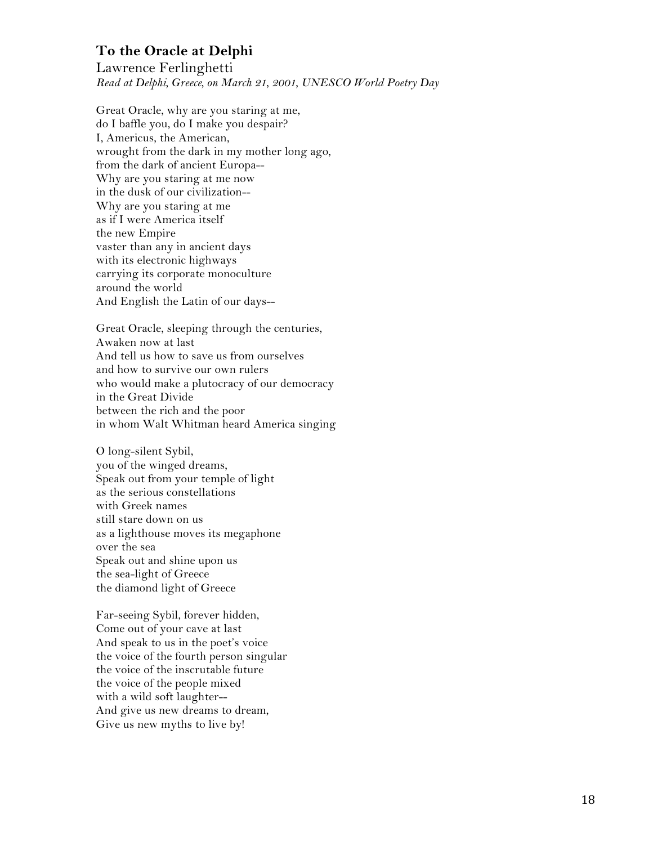### **To the Oracle at Delphi**

Lawrence Ferlinghetti *Read at Delphi, Greece, on March 21, 2001, UNESCO World Poetry Day*

Great Oracle, why are you staring at me, do I baffle you, do I make you despair? I, Americus, the American, wrought from the dark in my mother long ago, from the dark of ancient Europa-- Why are you staring at me now in the dusk of our civilization-- Why are you staring at me as if I were America itself the new Empire vaster than any in ancient days with its electronic highways carrying its corporate monoculture around the world And English the Latin of our days--

Great Oracle, sleeping through the centuries, Awaken now at last And tell us how to save us from ourselves and how to survive our own rulers who would make a plutocracy of our democracy in the Great Divide between the rich and the poor in whom Walt Whitman heard America singing

O long-silent Sybil, you of the winged dreams, Speak out from your temple of light as the serious constellations with Greek names still stare down on us as a lighthouse moves its megaphone over the sea Speak out and shine upon us the sea-light of Greece the diamond light of Greece

Far-seeing Sybil, forever hidden, Come out of your cave at last And speak to us in the poet's voice the voice of the fourth person singular the voice of the inscrutable future the voice of the people mixed with a wild soft laughter-- And give us new dreams to dream, Give us new myths to live by!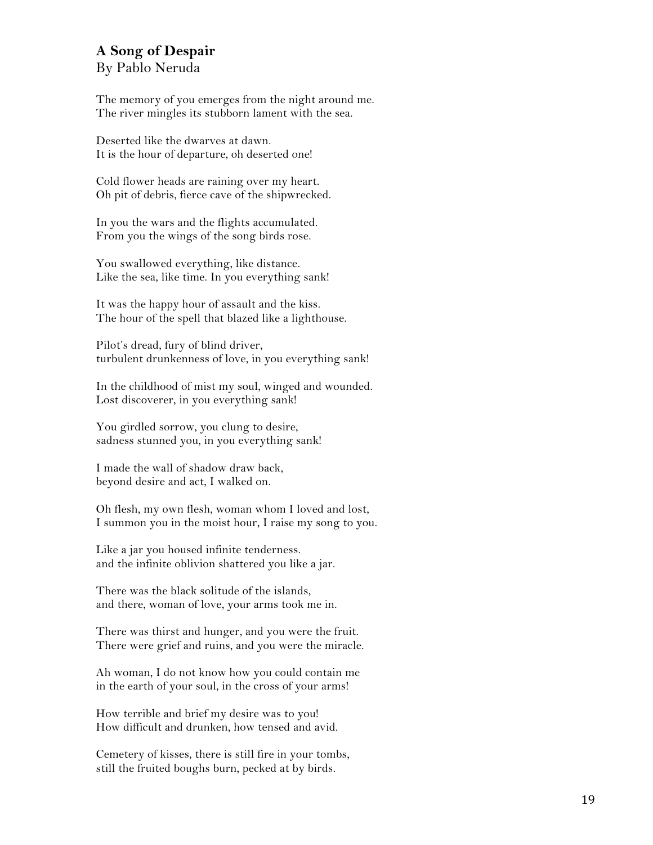# **A Song of Despair**

By Pablo Neruda

The memory of you emerges from the night around me. The river mingles its stubborn lament with the sea.

Deserted like the dwarves at dawn. It is the hour of departure, oh deserted one!

Cold flower heads are raining over my heart. Oh pit of debris, fierce cave of the shipwrecked.

In you the wars and the flights accumulated. From you the wings of the song birds rose.

You swallowed everything, like distance. Like the sea, like time. In you everything sank!

It was the happy hour of assault and the kiss. The hour of the spell that blazed like a lighthouse.

Pilot's dread, fury of blind driver, turbulent drunkenness of love, in you everything sank!

In the childhood of mist my soul, winged and wounded. Lost discoverer, in you everything sank!

You girdled sorrow, you clung to desire, sadness stunned you, in you everything sank!

I made the wall of shadow draw back, beyond desire and act, I walked on.

Oh flesh, my own flesh, woman whom I loved and lost, I summon you in the moist hour, I raise my song to you.

Like a jar you housed infinite tenderness. and the infinite oblivion shattered you like a jar.

There was the black solitude of the islands, and there, woman of love, your arms took me in.

There was thirst and hunger, and you were the fruit. There were grief and ruins, and you were the miracle.

Ah woman, I do not know how you could contain me in the earth of your soul, in the cross of your arms!

How terrible and brief my desire was to you! How difficult and drunken, how tensed and avid.

Cemetery of kisses, there is still fire in your tombs, still the fruited boughs burn, pecked at by birds.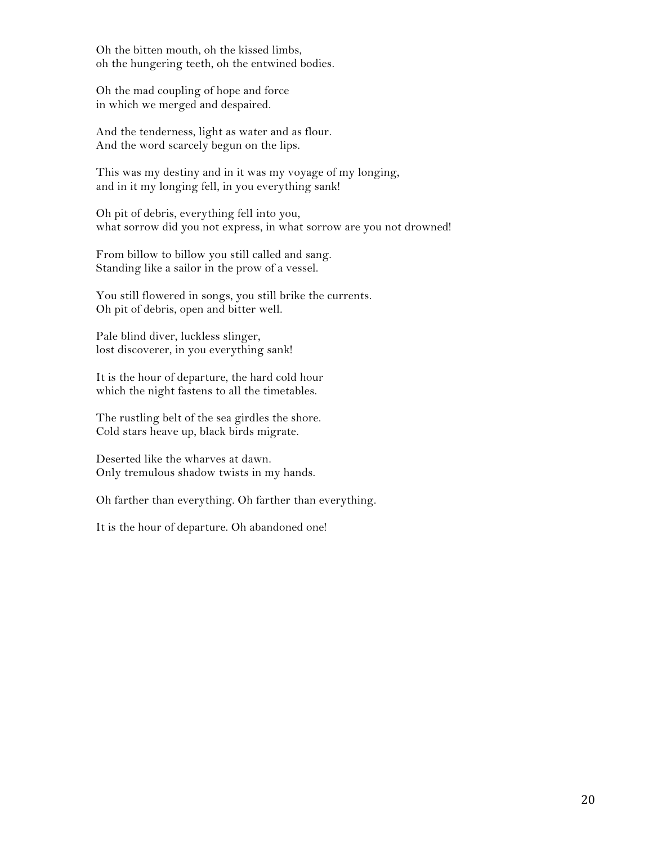Oh the bitten mouth, oh the kissed limbs, oh the hungering teeth, oh the entwined bodies.

Oh the mad coupling of hope and force in which we merged and despaired.

And the tenderness, light as water and as flour. And the word scarcely begun on the lips.

This was my destiny and in it was my voyage of my longing, and in it my longing fell, in you everything sank!

Oh pit of debris, everything fell into you, what sorrow did you not express, in what sorrow are you not drowned!

From billow to billow you still called and sang. Standing like a sailor in the prow of a vessel.

You still flowered in songs, you still brike the currents. Oh pit of debris, open and bitter well.

Pale blind diver, luckless slinger, lost discoverer, in you everything sank!

It is the hour of departure, the hard cold hour which the night fastens to all the timetables.

The rustling belt of the sea girdles the shore. Cold stars heave up, black birds migrate.

Deserted like the wharves at dawn. Only tremulous shadow twists in my hands.

Oh farther than everything. Oh farther than everything.

It is the hour of departure. Oh abandoned one!